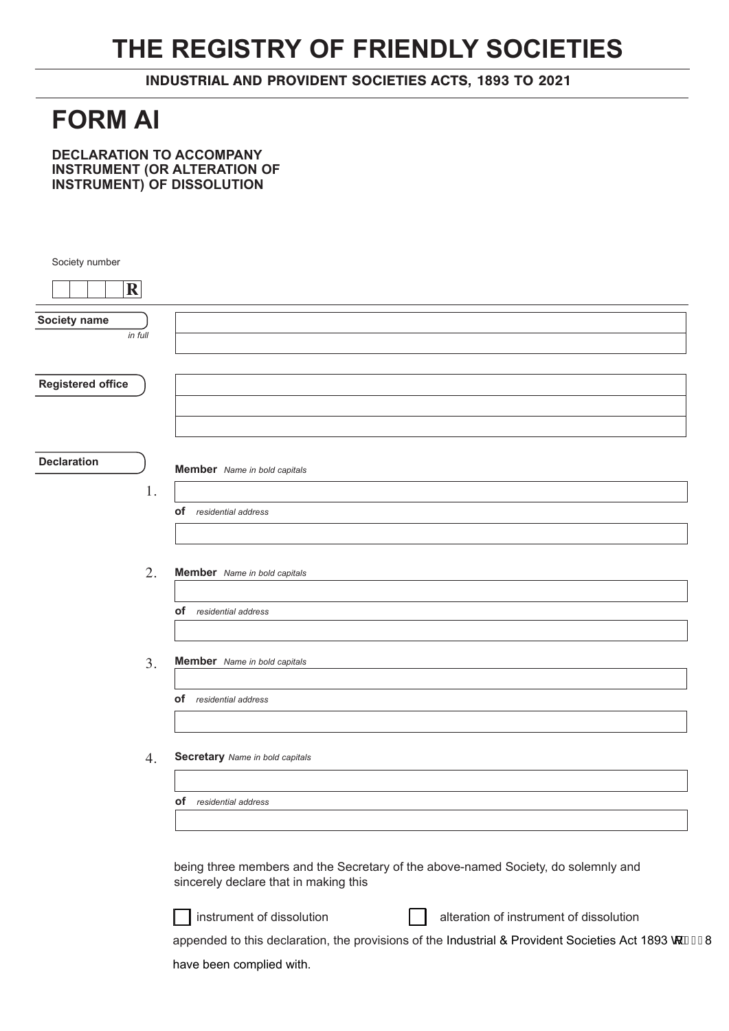## **THE REGISTRY OF FRIENDLY SOCIETIES**

INDUSTRIAL AND PROVIDENT SOCIETIES ACTS, 1893 TO 2021

## **FORM AI**

**DECLARATION TO ACCOMPANY INSTRUMENT (OR ALTERATION OF INSTRUMENT) OF DISSOLUTION**

| Society number           |                                                                                                                            |
|--------------------------|----------------------------------------------------------------------------------------------------------------------------|
| $\mathbf R$              |                                                                                                                            |
| Society name             |                                                                                                                            |
| in full                  |                                                                                                                            |
|                          |                                                                                                                            |
| <b>Registered office</b> |                                                                                                                            |
|                          |                                                                                                                            |
|                          |                                                                                                                            |
| <b>Declaration</b>       | <b>Member</b> Name in bold capitals                                                                                        |
| 1.                       |                                                                                                                            |
|                          | <b>of</b> residential address                                                                                              |
|                          |                                                                                                                            |
| 2.                       | <b>Member</b> Name in bold capitals                                                                                        |
|                          |                                                                                                                            |
|                          | <b>of</b> residential address                                                                                              |
|                          |                                                                                                                            |
| 3.                       | <b>Member</b> Name in bold capitals                                                                                        |
|                          | <b>of</b> residential address                                                                                              |
|                          |                                                                                                                            |
| 4.                       | <b>Secretary</b> Name in bold capitals                                                                                     |
|                          |                                                                                                                            |
|                          | of residential address                                                                                                     |
|                          |                                                                                                                            |
|                          | being three members and the Secretary of the above-named Society, do solemnly and<br>sincerely declare that in making this |
|                          | instrument of dissolution<br>alteration of instrument of dissolution                                                       |
|                          | appended to this declaration, the provisions of the Industrial & Provident Societies Act 1893 q ÁGEF8                      |

have been complied with.